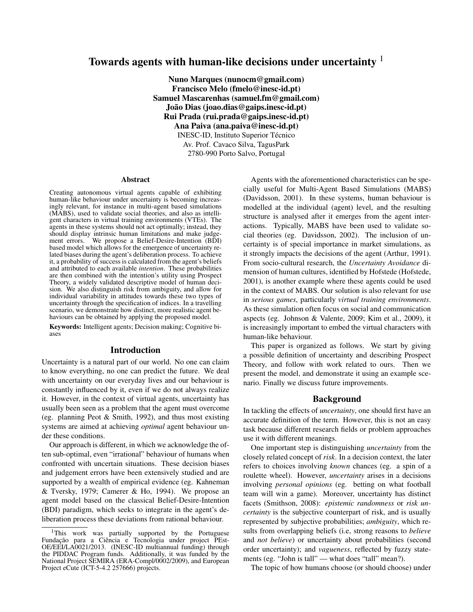# Towards agents with human-like decisions under uncertainty  $<sup>1</sup>$ </sup>

Nuno Marques (nunocm@gmail.com) Francisco Melo (fmelo@inesc-id.pt) Samuel Mascarenhas (samuel.fm@gmail.com)  $Jo\tilde{a}o$  Dias (joao.dias@gaips.inesc-id.pt) Rui Prada (rui.prada@gaips.inesc-id.pt) Ana Paiva (ana.paiva@inesc-id.pt) INESC-ID, Instituto Superior Técnico Av. Prof. Cavaco Silva, TagusPark 2780-990 Porto Salvo, Portugal

#### Abstract

Creating autonomous virtual agents capable of exhibiting human-like behaviour under uncertainty is becoming increasingly relevant, for instance in multi-agent based simulations (MABS), used to validate social theories, and also as intelligent characters in virtual training environments (VTEs). The agents in these systems should not act optimally; instead, they should display intrinsic human limitations and make judge-<br>ment errors. We propose a Belief-Desire-Intention (BDI) We propose a Belief-Desire-Intention (BDI) based model which allows for the emergence of uncertainty related biases during the agent's deliberation process. To achieve it, a probability of success is calculated from the agent's beliefs and attributed to each available *intention*. These probabilities are then combined with the intention's utility using Prospect Theory, a widely validated descriptive model of human decision. We also distinguish risk from ambiguity, and allow for individual variability in attitudes towards these two types of uncertainty through the specification of indices. In a travelling scenario, we demonstrate how distinct, more realistic agent behaviours can be obtained by applying the proposed model.

Keywords: Intelligent agents; Decision making; Cognitive biases

### Introduction

Uncertainty is a natural part of our world. No one can claim to know everything, no one can predict the future. We deal with uncertainty on our everyday lives and our behaviour is constantly influenced by it, even if we do not always realize it. However, in the context of virtual agents, uncertainty has usually been seen as a problem that the agent must overcome (eg. planning Peot & Smith, 1992), and thus most existing systems are aimed at achieving *optimal* agent behaviour under these conditions.

Our approach is different, in which we acknowledge the often sub-optimal, even "irrational" behaviour of humans when confronted with uncertain situations. These decision biases and judgement errors have been extensively studied and are supported by a wealth of empirical evidence (eg. Kahneman & Tversky, 1979; Camerer & Ho, 1994). We propose an agent model based on the classical Belief-Desire-Intention (BDI) paradigm, which seeks to integrate in the agent's deliberation process these deviations from rational behaviour.

Agents with the aforementioned characteristics can be specially useful for Multi-Agent Based Simulations (MABS) (Davidsson, 2001). In these systems, human behaviour is modelled at the individual (agent) level, and the resulting structure is analysed after it emerges from the agent interactions. Typically, MABS have been used to validate social theories (eg. Davidsson, 2002). The inclusion of uncertainty is of special importance in market simulations, as it strongly impacts the decisions of the agent (Arthur, 1991). From socio-cultural research, the *Uncertainty Avoidance* dimension of human cultures, identified by Hofstede (Hofstede, 2001), is another example where these agents could be used in the context of MABS. Our solution is also relevant for use in *serious games*, particularly *virtual training environments*. As these simulation often focus on social and communication aspects (eg. Johnson & Valente, 2009; Kim et al., 2009), it is increasingly important to embed the virtual characters with human-like behaviour.

This paper is organized as follows. We start by giving a possible definition of uncertainty and describing Prospect Theory, and follow with work related to ours. Then we present the model, and demonstrate it using an example scenario. Finally we discuss future improvements.

### Background

In tackling the effects of *uncertainty*, one should first have an accurate definition of the term. However, this is not an easy task because different research fields or problem approaches use it with different meanings.

One important step is distinguishing *uncertainty* from the closely related concept of *risk*. In a decision context, the later refers to choices involving *known* chances (eg. a spin of a roulette wheel). However, *uncertainty* arises in a decisions involving *personal opinions* (eg. betting on what football team will win a game). Moreover, uncertainty has distinct facets (Smithson, 2008): *epistemic randomness* or *risk uncertainty* is the subjective counterpart of risk, and is usually represented by subjective probabilities; *ambiguity*, which results from overlapping beliefs (i.e, strong reasons to *believe* and *not believe*) or uncertainty about probabilities (second order uncertainty); and *vagueness*, reflected by fuzzy statements (eg. "John is tall" — what does "tall" mean?).

The topic of how humans choose (or should choose) under

<sup>&</sup>lt;sup>1</sup>This work was partially supported by the Portuguese Fundação para a Ciência e Tecnologia under project PEst-OE/EEI/LA0021/2013. (INESC-ID multiannual funding) through the PIDDAC Program funds. Additionally, it was funded by the National Project SEMIRA (ERA-Compl/0002/2009), and European Project eCute (ICT-5-4.2 257666) projects.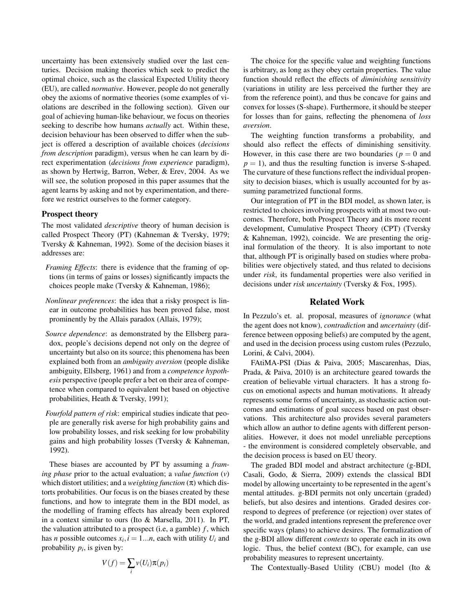uncertainty has been extensively studied over the last centuries. Decision making theories which seek to predict the optimal choice, such as the classical Expected Utility theory (EU), are called *normative*. However, people do not generally obey the axioms of normative theories (some examples of violations are described in the following section). Given our goal of achieving human-like behaviour, we focus on theories seeking to describe how humans *actually* act. Within these, decision behaviour has been observed to differ when the subject is offered a description of available choices (*decisions from description* paradigm), versus when he can learn by direct experimentation (*decisions from experience* paradigm), as shown by Hertwig, Barron, Weber, & Erev, 2004. As we will see, the solution proposed in this paper assumes that the agent learns by asking and not by experimentation, and therefore we restrict ourselves to the former category.

### Prospect theory

The most validated *descriptive* theory of human decision is called Prospect Theory (PT) (Kahneman & Tversky, 1979; Tversky & Kahneman, 1992). Some of the decision biases it addresses are:

- *Framing Effects*: there is evidence that the framing of options (in terms of gains or losses) significantly impacts the choices people make (Tversky & Kahneman, 1986);
- *Nonlinear preferences*: the idea that a risky prospect is linear in outcome probabilities has been proved false, most prominently by the Allais paradox (Allais, 1979);
- *Source dependence*: as demonstrated by the Ellsberg paradox, people's decisions depend not only on the degree of uncertainty but also on its source; this phenomena has been explained both from an *ambiguity aversion* (people dislike ambiguity, Ellsberg, 1961) and from a *competence hypothesis* perspective (people prefer a bet on their area of competence when compared to equivalent bet based on objective probabilities, Heath & Tversky, 1991);
- *Fourfold pattern of risk*: empirical studies indicate that people are generally risk averse for high probability gains and low probability losses, and risk seeking for low probability gains and high probability losses (Tversky & Kahneman, 1992).

These biases are accounted by PT by assuming a *framing phase* prior to the actual evaluation; a *value function* (*v*) which distort utilities; and a *weighting function* (π) which distorts probabilities. Our focus is on the biases created by these functions, and how to integrate them in the BDI model, as the modelling of framing effects has already been explored in a context similar to ours (Ito & Marsella, 2011). In PT, the valuation attributed to a prospect (i.e., a gamble)  $f$ , which has *n* possible outcomes  $x_i$ ,  $i = 1...n$ , each with utility  $U_i$  and probability  $p_i$ , is given by:

$$
V(f) = \sum_i v(U_i) \pi(p_i)
$$

The choice for the specific value and weighting functions is arbitrary, as long as they obey certain properties. The value function should reflect the effects of *diminishing sensitivity* (variations in utility are less perceived the further they are from the reference point), and thus be concave for gains and convex for losses (S-shape). Furthermore, it should be steeper for losses than for gains, reflecting the phenomena of *loss aversion*.

The weighting function transforms a probability, and should also reflect the effects of diminishing sensitivity. However, in this case there are two boundaries ( $p = 0$  and  $p = 1$ , and thus the resulting function is inverse S-shaped. The curvature of these functions reflect the individual propensity to decision biases, which is usually accounted for by assuming parametrized functional forms.

Our integration of PT in the BDI model, as shown later, is restricted to choices involving prospects with at most two outcomes. Therefore, both Prospect Theory and its more recent development, Cumulative Prospect Theory (CPT) (Tversky & Kahneman, 1992), coincide. We are presenting the original formulation of the theory. It is also important to note that, although PT is originally based on studies where probabilities were objectively stated, and thus related to decisions under *risk*, its fundamental properties were also verified in decisions under *risk uncertainty* (Tversky & Fox, 1995).

### Related Work

In Pezzulo's et. al. proposal, measures of *ignorance* (what the agent does not know), *contradiction* and *uncertainty* (difference between opposing beliefs) are computed by the agent, and used in the decision process using custom rules (Pezzulo, Lorini, & Calvi, 2004).

FAtiMA-PSI (Dias & Paiva, 2005; Mascarenhas, Dias, Prada, & Paiva, 2010) is an architecture geared towards the creation of believable virtual characters. It has a strong focus on emotional aspects and human motivations. It already represents some forms of uncertainty, as stochastic action outcomes and estimations of goal success based on past observations. This architecture also provides several parameters which allow an author to define agents with different personalities. However, it does not model unreliable perceptions - the environment is considered completely observable, and the decision process is based on EU theory.

The graded BDI model and abstract architecture (g-BDI, Casali, Godo, & Sierra, 2009) extends the classical BDI model by allowing uncertainty to be represented in the agent's mental attitudes. g-BDI permits not only uncertain (graded) beliefs, but also desires and intentions. Graded desires correspond to degrees of preference (or rejection) over states of the world, and graded intentions represent the preference over specific ways (plans) to achieve desires. The formalization of the g-BDI allow different *contexts* to operate each in its own logic. Thus, the belief context (BC), for example, can use probability measures to represent uncertainty.

The Contextually-Based Utility (CBU) model (Ito &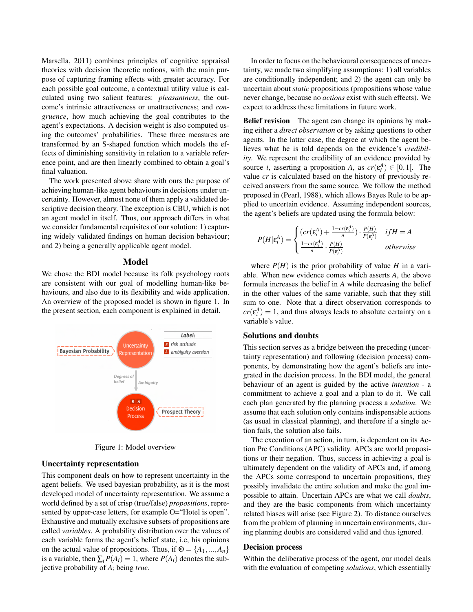Marsella, 2011) combines principles of cognitive appraisal theories with decision theoretic notions, with the main purpose of capturing framing effects with greater accuracy. For each possible goal outcome, a contextual utility value is calculated using two salient features: *pleasantness*, the outcome's intrinsic attractiveness or unattractiveness; and *congruence*, how much achieving the goal contributes to the agent's expectations. A decision weight is also computed using the outcomes' probabilities. These three measures are transformed by an S-shaped function which models the effects of diminishing sensitivity in relation to a variable reference point, and are then linearly combined to obtain a goal's final valuation.

The work presented above share with ours the purpose of achieving human-like agent behaviours in decisions under uncertainty. However, almost none of them apply a validated descriptive decision theory. The exception is CBU, which is not an agent model in itself. Thus, our approach differs in what we consider fundamental requisites of our solution: 1) capturing widely validated findings on human decision behaviour; and 2) being a generally applicable agent model.

### Model

We chose the BDI model because its folk psychology roots are consistent with our goal of modelling human-like behaviours, and also due to its flexibility and wide application. An overview of the proposed model is shown in figure 1. In the present section, each component is explained in detail.



Figure 1: Model overview

## Uncertainty representation

This component deals on how to represent uncertainty in the agent beliefs. We used bayesian probability, as it is the most developed model of uncertainty representation. We assume a world defined by a set of crisp (true/false) *propositions*, represented by upper-case letters, for example O="Hotel is open". Exhaustive and mutually exclusive subsets of propositions are called *variables*. A probability distribution over the values of each variable forms the agent's belief state, i.e, his opinions on the actual value of propositions. Thus, if  $\Theta = \{A_1, ..., A_n\}$ is a variable, then  $\sum_{i} P(A_i) = 1$ , where  $P(A_i)$  denotes the subjective probability of *A<sup>i</sup>* being *true*.

In order to focus on the behavioural consequences of uncertainty, we made two simplifying assumptions: 1) all variables are conditionally independent; and 2) the agent can only be uncertain about *static* propositions (propositions whose value never change, because no *actions* exist with such effects). We expect to address these limitations in future work.

Belief revision The agent can change its opinions by making either a *direct observation* or by asking questions to other agents. In the latter case, the degree at which the agent believes what he is told depends on the evidence's *credibility*. We represent the credibility of an evidence provided by source *i*, asserting a proposition *A*, as  $cr(\epsilon_i^A) \in [0,1[$ . The value *cr* is calculated based on the history of previously received answers from the same source. We follow the method proposed in (Pearl, 1988), which allows Bayes Rule to be applied to uncertain evidence. Assuming independent sources, the agent's beliefs are updated using the formula below:

$$
P(H|\varepsilon_i^A) = \begin{cases} (c r(\varepsilon_i^A) + \frac{1 - c r(\varepsilon_i^A)}{n}) \cdot \frac{P(H)}{P(\varepsilon_i^A)} & if H = A \\ \frac{1 - c r(\varepsilon_i^A)}{n} \cdot \frac{P(H)}{P(\varepsilon_i^A)} & otherwise \end{cases}
$$

where  $P(H)$  is the prior probability of value *H* in a variable. When new evidence comes which asserts *A*, the above formula increases the belief in *A* while decreasing the belief in the other values of the same variable, such that they still sum to one. Note that a direct observation corresponds to  $cr(\varepsilon_i^A) = 1$ , and thus always leads to absolute certainty on a variable's value.

### Solutions and doubts

This section serves as a bridge between the preceding (uncertainty representation) and following (decision process) components, by demonstrating how the agent's beliefs are integrated in the decision process. In the BDI model, the general behaviour of an agent is guided by the active *intention* - a commitment to achieve a goal and a plan to do it. We call each plan generated by the planning process a *solution*. We assume that each solution only contains indispensable actions (as usual in classical planning), and therefore if a single action fails, the solution also fails.

The execution of an action, in turn, is dependent on its Action Pre Conditions (APC) validity. APCs are world propositions or their negation. Thus, success in achieving a goal is ultimately dependent on the validity of APCs and, if among the APCs some correspond to uncertain propositions, they possibly invalidate the entire solution and make the goal impossible to attain. Uncertain APCs are what we call *doubts*, and they are the basic components from which uncertainty related biases will arise (see Figure 2). To distance ourselves from the problem of planning in uncertain environments, during planning doubts are considered valid and thus ignored.

## Decision process

Within the deliberative process of the agent, our model deals with the evaluation of competing *solutions*, which essentially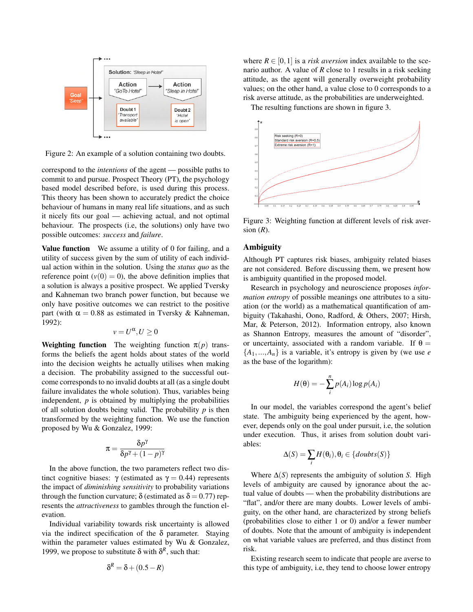

Figure 2: An example of a solution containing two doubts.

correspond to the *intentions* of the agent — possible paths to commit to and pursue. Prospect Theory (PT), the psychology based model described before, is used during this process. This theory has been shown to accurately predict the choice behaviour of humans in many real life situations, and as such it nicely fits our goal — achieving actual, and not optimal behaviour. The prospects (i.e, the solutions) only have two possible outcomes: *success* and *failure*.

Value function We assume a utility of 0 for failing, and a utility of success given by the sum of utility of each individual action within in the solution. Using the *status quo* as the reference point  $(v(0) = 0)$ , the above definition implies that a solution is always a positive prospect. We applied Tversky and Kahneman two branch power function, but because we only have positive outcomes we can restrict to the positive part (with  $\alpha = 0.88$  as estimated in Tversky & Kahneman, 1992):

$$
v = U^{\alpha}, U \ge 0
$$

**Weighting function** The weighting function  $\pi(p)$  transforms the beliefs the agent holds about states of the world into the decision weights he actually utilises when making a decision. The probability assigned to the successful outcome corresponds to no invalid doubts at all (as a single doubt failure invalidates the whole solution). Thus, variables being independent, *p* is obtained by multiplying the probabilities of all solution doubts being valid. The probability *p* is then transformed by the weighting function. We use the function proposed by Wu & Gonzalez, 1999:

$$
\pi = \frac{\delta p^{\gamma}}{\delta p^{\gamma} + (1-p)^{\gamma}}
$$

In the above function, the two parameters reflect two distinct cognitive biases: γ (estimated as  $\gamma = 0.44$ ) represents the impact of *diminishing sensitivity* to probability variations through the function curvature;  $\delta$  (estimated as  $\delta = 0.77$ ) represents the *attractiveness* to gambles through the function elevation.

Individual variability towards risk uncertainty is allowed via the indirect specification of the  $\delta$  parameter. Staying within the parameter values estimated by Wu & Gonzalez, 1999, we propose to substitute  $\delta$  with  $\delta^R$ , such that:

$$
\delta^R = \delta + (0.5 - R)
$$

where  $R \in [0,1]$  is a *risk aversion* index available to the scenario author. A value of *R* close to 1 results in a risk seeking attitude, as the agent will generally overweight probability values; on the other hand, a value close to 0 corresponds to a risk averse attitude, as the probabilities are underweighted.

The resulting functions are shown in figure 3.



Figure 3: Weighting function at different levels of risk aversion  $(R)$ .

### Ambiguity

Although PT captures risk biases, ambiguity related biases are not considered. Before discussing them, we present how is ambiguity quantified in the proposed model.

Research in psychology and neuroscience proposes *information entropy* of possible meanings one attributes to a situation (or the world) as a mathematical quantification of ambiguity (Takahashi, Oono, Radford, & Others, 2007; Hirsh, Mar, & Peterson, 2012). Information entropy, also known as Shannon Entropy, measures the amount of "disorder", or uncertainty, associated with a random variable. If  $\theta =$  ${A_1, ..., A_n}$  is a variable, it's entropy is given by (we use *e* as the base of the logarithm):

$$
H(\theta) = -\sum_{i}^{n} p(A_i) \log p(A_i)
$$

In our model, the variables correspond the agent's belief state. The ambiguity being experienced by the agent, however, depends only on the goal under pursuit, i.e, the solution under execution. Thus, it arises from solution doubt variables:

$$
\Delta(S) = \sum_i H(\theta_i), \theta_i \in \{doubts(S)\}
$$

Where  $\Delta(S)$  represents the ambiguity of solution *S*. High levels of ambiguity are caused by ignorance about the actual value of doubts — when the probability distributions are "flat", and/or there are many doubts. Lower levels of ambiguity, on the other hand, are characterized by strong beliefs (probabilities close to either 1 or 0) and/or a fewer number of doubts. Note that the amount of ambiguity is independent on what variable values are preferred, and thus distinct from risk.

Existing research seem to indicate that people are averse to this type of ambiguity, i.e, they tend to choose lower entropy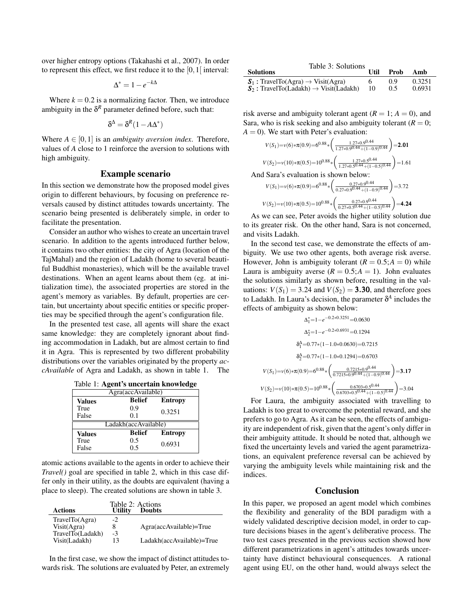over higher entropy options (Takahashi et al., 2007). In order to represent this effect, we first reduce it to the  $[0,1]$  interval:

$$
\Delta^* = 1 - e^{-k\Delta}
$$

Where  $k = 0.2$  is a normalizing factor. Then, we introduce ambiguity in the  $\delta^R$  parameter defined before, such that:

$$
\delta^{\Delta} = \delta^R (1 - A \Delta^*)
$$

Where  $A \in [0,1]$  is an *ambiguity aversion index*. Therefore, values of *A* close to 1 reinforce the aversion to solutions with high ambiguity.

### Example scenario

In this section we demonstrate how the proposed model gives origin to different behaviours, by focusing on preference reversals caused by distinct attitudes towards uncertainty. The scenario being presented is deliberately simple, in order to facilitate the presentation.

Consider an author who wishes to create an uncertain travel scenario. In addition to the agents introduced further below, it contains two other entities: the city of Agra (location of the TajMahal) and the region of Ladakh (home to several beautiful Buddhist monasteries), which will be the available travel destinations. When an agent learns about them (eg. at initialization time), the associated properties are stored in the agent's memory as variables. By default, properties are certain, but uncertainty about specific entities or specific properties may be specified through the agent's configuration file.

In the presented test case, all agents will share the exact same knowledge: they are completely ignorant about finding accommodation in Ladakh, but are almost certain to find it in Agra. This is represented by two different probability distributions over the variables originated by the property *accAvailable* of Agra and Ladakh, as shown in table 1. The

|  |  |  |  | Table 1: Agent's uncertain knowledge |  |  |
|--|--|--|--|--------------------------------------|--|--|
|--|--|--|--|--------------------------------------|--|--|

| Agra(accAvailable)   |               |                |  |  |  |  |
|----------------------|---------------|----------------|--|--|--|--|
| <b>Values</b>        | <b>Belief</b> | <b>Entropy</b> |  |  |  |  |
| True                 | 0.9           | 0.3251         |  |  |  |  |
| False                | 0.1           |                |  |  |  |  |
| Ladakh(accAvailable) |               |                |  |  |  |  |
|                      |               |                |  |  |  |  |
| <b>Values</b>        | <b>Belief</b> | <b>Entropy</b> |  |  |  |  |
| True                 | 0.5           | 0.6931         |  |  |  |  |

atomic actions available to the agents in order to achieve their *Travel()* goal are specified in table 2, which in this case differ only in their utility, as the doubts are equivalent (having a place to sleep). The created solutions are shown in table 3.

| Actions          | Table 2: Actions<br><b>Utility</b> | <b>Doubts</b>             |
|------------------|------------------------------------|---------------------------|
| TravelTo(Agra)   | -2                                 |                           |
| Visit(Agra)      | 8                                  | Agra(accAvailable)=True   |
| TravelTo(Ladakh) | $-3$                               |                           |
| Visit(Ladakh)    | 13                                 | Ladakh(accAvailable)=True |

In the first case, we show the impact of distinct attitudes towards risk. The solutions are evaluated by Peter, an extremely

| Table 3: Solutions<br><b>Solutions</b>               | Util | Prob | Amh    |
|------------------------------------------------------|------|------|--------|
| $S_1$ : TravelTo(Agra) $\rightarrow$ Visit(Agra)     | 10   | 0.9  | 0.3251 |
| $S_2$ : TravelTo(Ladakh) $\rightarrow$ Visit(Ladakh) |      | 0.5  | 0.6931 |

risk averse and ambiguity tolerant agent  $(R = 1; A = 0)$ , and Sara, who is risk seeking and also ambiguity tolerant  $(R = 0)$ ;  $A = 0$ ). We start with Peter's evaluation:

$$
V(S_1)=v(6)*\pi(0.9)=6^{0.88}*\left(\frac{1.27*0.9^{0.44}}{1.27*0.9^{0.44}+(1-0.9)^{0.44}}\right)=2.01
$$
  

$$
V(S_2)=v(10)*\pi(0.5)=10^{0.88}*\left(\frac{1.27*0.5^{0.44}}{1.27*0.5^{0.44}+(1-0.5)^{0.44}}\right)=1.61
$$
  
And Sara's evaluation is shown below:  

$$
V(S_2)=v(10)*\pi(0.5)=10^{0.88}*\left(\frac{1.27*0.5^{0.44}}{1.27*0.5^{0.44}+(1-0.5)^{0.44}}\right)=1.61
$$

$$
V(S_1)=v(6)*\pi(0.9)=6^{0.88}*\left(\frac{0.27*0.9^{0.44}}{0.27*0.9^{0.44}+(1-0.9)^{0.44}}\right)=3.72
$$
  

$$
V(S_2)=v(10)*\pi(0.5)=10^{0.88}*\left(\frac{0.27*0.9^{0.44}}{0.27*0.5^{0.44}+(1-0.5)^{0.44}}\right)=4.24
$$

As we can see, Peter avoids the higher utility solution due to its greater risk. On the other hand, Sara is not concerned, and visits Ladakh.

In the second test case, we demonstrate the effects of ambiguity. We use two other agents, both average risk averse. However, John is ambiguity tolerant  $(R = 0.5; A = 0)$  while Laura is ambiguity averse  $(R = 0.5; A = 1)$ . John evaluates the solutions similarly as shown before, resulting in the valuations:  $V(S_1) = 3.24$  and  $V(S_2) = 3.30$ , and therefore goes to Ladakh. In Laura's decision, the parameter  $\delta^A$  includes the effects of ambiguity as shown below:

$$
\Delta_1^* = 1 - e^{-0.2*0.3251} = 0.0630
$$

$$
\Delta_2^* = 1 - e^{-0.2*0.6931} = 0.1294
$$

$$
\delta_1^{\Delta} = 0.77*(1 - 1.0*0.0630) = 0.7215
$$

$$
\delta_2^{\Delta} = 0.77*(1 - 1.0*0.1294) = 0.6703
$$

$$
V(S_1) = v(6) * \pi(0.9) = 6^{0.88} * \left(\frac{0.7215*0.9^{0.44}}{0.7215*0.9^{0.44} + (1 - 0.9)^{0.44}}\right) = 3.17
$$

$$
V(S_2) = v(10) * \pi(0.5) = 10^{0.88} * \left(\frac{0.6703*0.5^{0.44}}{0.6703*0.5^{0.44} + (1 - 0.5)^{0.44}}\right) = 3.04
$$

For Laura, the ambiguity associated with travelling to Ladakh is too great to overcome the potential reward, and she prefers to go to Agra. As it can be seen, the effects of ambiguity are independent of risk, given that the agent's only differ in their ambiguity attitude. It should be noted that, although we fixed the uncertainty levels and varied the agent parametrizations, an equivalent preference reversal can be achieved by varying the ambiguity levels while maintaining risk and the indices.

#### Conclusion

In this paper, we proposed an agent model which combines the flexibility and generality of the BDI paradigm with a widely validated descriptive decision model, in order to capture decisions biases in the agent's deliberative process. The two test cases presented in the previous section showed how different parametrizations in agent's attitudes towards uncertainty have distinct behavioural consequences. A rational agent using EU, on the other hand, would always select the